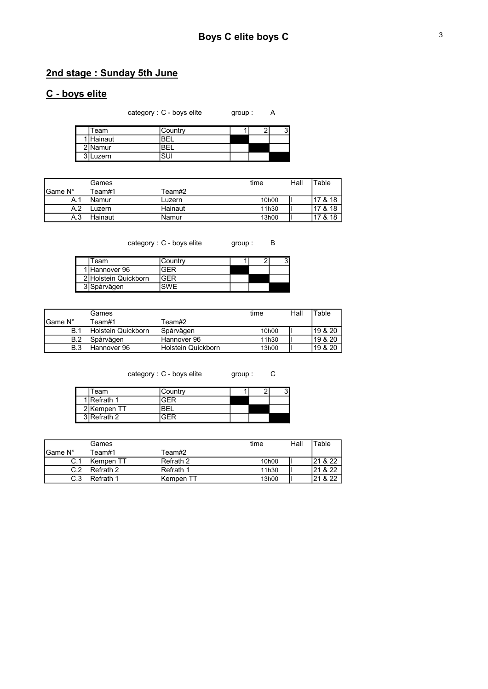## 2nd stage : Sunday 5th June

## C - boys elite

category : C - boys elite group : A

| Геаm      | Country |  |  |
|-----------|---------|--|--|
| 1 Hainaut |         |  |  |
| :INamur   |         |  |  |
| .uzern    |         |  |  |

|                 | Games   |         | time  | Hall | Table                              |
|-----------------|---------|---------|-------|------|------------------------------------|
| <b>IGame N°</b> | Team#1  | Team#2  |       |      |                                    |
| A.1             | Namur   | Luzern  | 10h00 |      | 17 & 18                            |
| A.2             | Luzern  | Hainaut | 11h30 |      | 17 & 18                            |
| A.3             | Hainaut | Namur   | 13h00 |      | 18 <sub>1</sub><br>17 <sub>8</sub> |

category : C - boys elite group : B

| Team                 | Countrv |  |  |
|----------------------|---------|--|--|
| 1 I Hannover 96      | ÷⊢R     |  |  |
| 2 Holstein Quickborn | GFR     |  |  |
| 3 Spårvägen          | 3WF     |  |  |

|            | Games                     |                    | time  | Hall | Table   |
|------------|---------------------------|--------------------|-------|------|---------|
| IGame N°   | Team#1                    | Team#2             |       |      |         |
| B.1        | <b>Holstein Quickborn</b> | Spårvägen          | 10h00 |      | 19 & 20 |
| <b>B.2</b> | Spårvägen                 | Hannover 96        | 11h30 |      | 19 & 20 |
| <b>B.3</b> | Hannover 96               | Holstein Quickborn | 13h00 |      | 19 & 20 |

category : C - boys elite group : C

| Team        | Country    |  |  |
|-------------|------------|--|--|
| 1 Refrath 1 |            |  |  |
| 2 Kempen TT | <b>BEL</b> |  |  |
| 3 Refrath 2 |            |  |  |

|          | Games     |           | time  | Hall | Table   |
|----------|-----------|-----------|-------|------|---------|
| IGame N° | Team#1    | Team#2    |       |      |         |
| C.1      | Kempen TT | Refrath 2 | 10h00 |      | 21 & 22 |
| C.2      | Refrath 2 | Refrath 1 | 11h30 |      | 21 & 22 |
| C.3      | Refrath 1 | Kempen TT | 13h00 |      | ററ      |